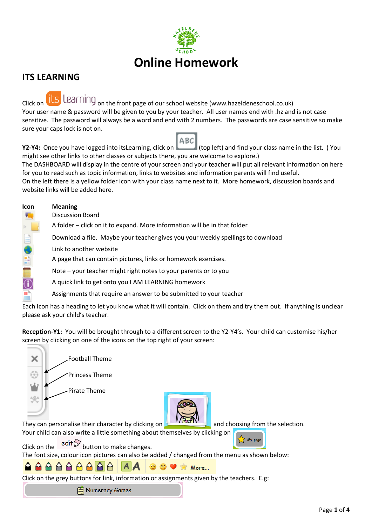

# **ITS LEARNING**

Click on **ILS** Learning <sub>on the front page of our school website (www.hazeldeneschool.co.uk)</sub> Your user name & password will be given to you by your teacher. All user names end with .hz and is not case sensitive. The password will always be a word and end with 2 numbers. The passwords are case sensitive so make sure your caps lock is not on.

 $ABC$ **Y2-Y4:** Once you have logged into itsLearning, click on (top left) and find your class name in the list. (You might see other links to other classes or subjects there, you are welcome to explore.) The DASHBOARD will display in the centre of your screen and your teacher will put all relevant information on here for you to read such as topic information, links to websites and information parents will find useful. On the left there is a yellow folder icon with your class name next to it. More homework, discussion boards and website links will be added here.

| <b>Icon</b> | <b>Meaning</b>                                                                  |
|-------------|---------------------------------------------------------------------------------|
|             | <b>Discussion Board</b>                                                         |
|             | A folder – click on it to expand. More information will be in that folder       |
| 目           | Download a file. Maybe your teacher gives you your weekly spellings to download |
|             | Link to another website                                                         |
|             | A page that can contain pictures, links or homework exercises.                  |
|             | Note – your teacher might right notes to your parents or to you                 |
|             | A quick link to get onto you I AM LEARNING homework                             |
|             | Assignments that require an answer to be submitted to your teacher              |

Each Icon has a heading to let you know what it will contain. Click on them and try them out. If anything is unclear please ask your child's teacher.

**Reception-Y1:** You will be brought through to a different screen to the Y2-Y4's. Your child can customise his/her screen by clicking on one of the icons on the top right of your screen:

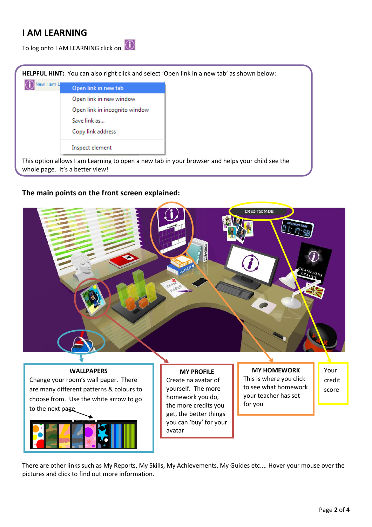# **I AM LEARNING**

To log onto I AM LEARNING click on

|            |                                 | <b>HELPFUL HINT:</b> You can also right click and select 'Open link in a new tab' as shown below: |
|------------|---------------------------------|---------------------------------------------------------------------------------------------------|
| lew I am L | Open link in new tab            |                                                                                                   |
|            | Open link in new window         |                                                                                                   |
|            | Open link in incognito window   |                                                                                                   |
|            | Save link as                    |                                                                                                   |
|            | Copy link address               |                                                                                                   |
|            | Inspect element                 |                                                                                                   |
|            | whole page. It's a better view! | This option allows I am Learning to open a new tab in your browser and helps your child see the   |

## **The main points on the front screen explained:**







**MY PROFILE** Create na avatar of yourself. The more homework you do, the more credits you get, the better things you can 'buy' for your avatar

**MY HOMEWORK** This is where you click to see what homework your teacher has set for you

Your credit score

There are other links such as My Reports, My Skills, My Achievements, My Guides etc.... Hover your mouse over the pictures and click to find out more information.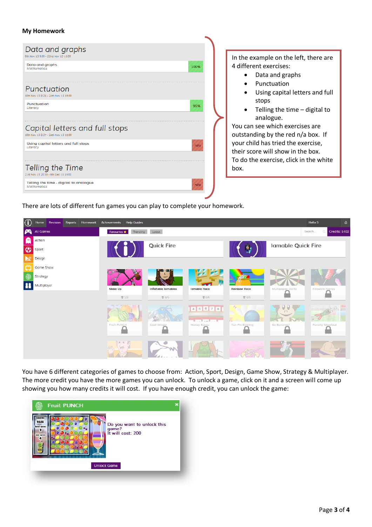### **My Homework**

| Data and graphs<br>8th Nov 13 9:00 - 22nd Nov 13 15:00                       | In the example on the left, there are                                                                             |
|------------------------------------------------------------------------------|-------------------------------------------------------------------------------------------------------------------|
| Data and graphs<br>100%<br><b>Mathematics</b><br>Punctuation                 | 4 different exercises:<br>Data and graphs<br>Punctuation                                                          |
| 0th Nov 13 8:26 - 24th Nov 13 15:00<br><b>Punctuation</b><br>95%<br>Literacy | Using capital letters and full<br>stops<br>Telling the time $-$ digital to<br>analogue.                           |
| Capital letters and full stops<br>10th Nov 13 8:27 - 24th Nov 13 15:00       | You can see which exercises are<br>outstanding by the red n/a box. If                                             |
| Using capital letters and full stops<br>$n/\sigma$<br>Literacy               | your child has tried the exercise,<br>their score will show in the box.<br>To do the exercise, click in the white |
| Telling the Time<br>21st Nov 13 20:30 - 6th Dec 13 15:00                     | box.                                                                                                              |
| Telling the time - digital to analogue<br>$n/\sigma$<br>Mathematics          |                                                                                                                   |

There are lots of different fun games you can play to complete your homework.



You have 6 different categories of games to choose from: Action, Sport, Design, Game Show, Strategy & Multiplayer. The more credit you have the more games you can unlock. To unlock a game, click on it and a screen will come up showing you how many credits it will cost. If you have enough credit, you can unlock the game: